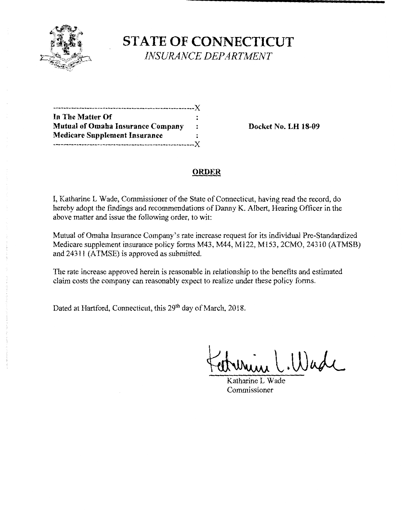

**STATE OF CONNECTICUT**  *INSURANCE DEPARTMENT* 

| In The Matter Of                         | :                    |
|------------------------------------------|----------------------|
| <b>Mutual of Omaha Insurance Company</b> | $\ddot{\phantom{a}}$ |
| <b>Medicare Supplement Insurance</b>     |                      |
|                                          |                      |

**Mutual Docket No. LH 18-09** 

# **ORDER**

I, Katharine L Wade, Commissioner of the State of Connecticut, having read the record, do hereby adopt the findings and recommendations of Danny K. Albert, Hearing Officer in the above matter and issue the following order, to wit:

Mutual of Omaha Insurance Company's rate increase request for its individual Pre-Standardized Medicare supplement insurance policy forms M43, M44, M122, M153, 2CMO, 24310 (ATMSB) and 24311 (ATMSE) is approved as submitted.

The rate increase approved herein is reasonable in relationship to the benefits and estimated claim costs the company can reasonably expect to realize under these policy forms.

Dated at Hartford, Connecticut, this 29<sup>th</sup> day of March, 2018.

in C.Wade

Katharine L Wade Commissioner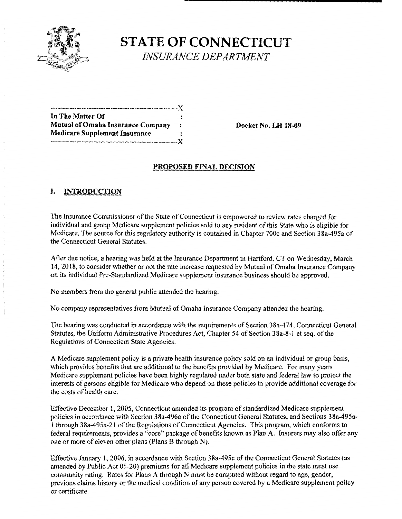

**STATE OF CONNECTICUT**  *INSURANCE DEPARTMENT* 

-----------------------------------------------------)( **In The Matter Of**  Mutual of Omaha Insurance Company : Docket No. LH 18-09 **Medicare Supplement Insurance**  -----------------------------------------------------)(

# **PROPOSED FINAL DECISION**

# **I. INTRODUCTION**

The Insurance Commissioner of the State of Connecticut is empowered to review rates charged for individual and group Medicare supplement policies sold to any resident of this State who is eligible for Medicare. The source for this regulatory authority is contained in Chapter 700c and Section 38a-495a of the Connecticut General Statutes.

After due notice, a hearing was held at the Insurance Department in Hartford, CT on Wednesday, March 14, 2018, to consider whether or not the rate increase requested by Mutual of Omaha Insurance Company on its individual Pre-Standardized Medicare supplement insurance business should be approved.

No members from the general public attended the hearing.

No company representatives from Mutual of Omaha Insurance Company attended the hearing.

The hearing was conducted in accordance with the requirements of Section 38a-474, Connecticut General Statutes, the Uniform Administrative Procedures Act, Chapter 54 of Section 38a-8-1 et seq. ofthe Regulations of Connecticut State Agencies.

A Medicare supplement policy is a private health insurance policy sold on an individual or group basis, which provides benefits that are additional to the benefits provided by Medicare. For many years Medicare supplement policies have been highly regulated under both state and federal law to protect the interests of persons eligible for Medicare who depend on these policies to provide additional coverage for the costs of health care.

Effective December 1, 2005, Connecticut amended its program of standardized Medicare supplement policies in accordance with Section 38a-496a of the Connecticut General Statutes, and Sections 38a-495a-1 through 38a-495a-2I of the Regulations of Connecticut Agencies. This program, which conforms to federal requirements, provides a "core" package of benefits known as Plan A. Insurers may also offer any one or more of eleven other plans (Plans B through N).

Effective January 1, 2006, in accordance with Section 38a-495c ofthe Connecticut General Statutes (as amended by Public Act 05-20) premiums for all Medicare supplement policies in the state must use community rating. Rates for Plans A through N must be computed without regard to age, gender, previous claims history or the medical condition of any person covered by a Medicare supplement policy or certificate.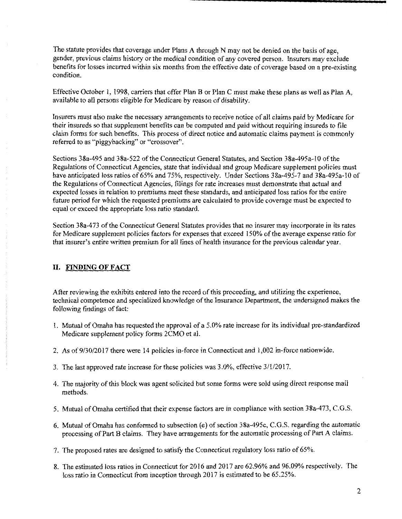The statute provides that coverage under Plans A through N may not be denied on the basis of age, gender, previous claims history or the medical condition of any covered person. Insurers may exclude benefits for losses incurred within six months from the effective date of coverage based on a pre-existing condition.

Effective October 1, 1998, carriers that offer Plan B or Plan C must make these plans as well as Plan A, available to all persons eligible for Medicare by reason of disability.

Insurers must also make the necessary arrangements to receive notice of all claims paid by Medicare for their insureds so that supplement benefits can be computed and paid without requiring insureds to file claim forms for such benefits. This process of direct notice and automatic claims payment is commonly referred to as "piggybacking" or "crossover".

Sections 38a-495 and 38a-522 of the Connecticut General Statutes, and Section 38a-495a-lO of the Regulations of Connecticut Agencies, state that individual and group Medicare supplement policies must have anticipated loss ratios of 65% and 75%, respectively. Under Sections 38a-495-7 and 38a-495a-10 of the Regulations of Connecticut Agencies, filings for rate increases must demonstrate that actual and expected losses in relation to premiums meet these standards, and anticipated loss ratios for the entire future period for which the requested premiums are calculated to provide coverage must be expected to equal or exceed the appropriate loss ratio standard.

Section 38a-473 of the Connecticut General Statutes provides that no insurer may incorporate in its rates for Medicare supplement policies factors for expenses that exceed 150% of the average expense ratio for that insurer's entire written premium for all lines of health insurance for the previous calendar year.

# **II. FINDING OF FACT**

After reviewing the exhibits entered into the record of this proceeding, and utilizing the experience, technical competence and specialized knowledge of the Insurance Department, the undersigned makes the following findings of fact:

- 1. Mutual of Omaha has requested the approval of a 5 .0% rate increase for its individual pre-standardized Medicare supplement policy forms 2CMO et al.
- 2. As of9/30/2017 there were 14 policies in-force in Connecticut and 1,002 in-force nationwide.
- 3. The last approved rate increase for these policies was 3.0%, effective 3/1/2017.
- 4. The majority of this block was agent solicited but some forms were sold using direct response mail methods.
- 5. Mutual of Omaha certified that their expense factors are in compliance with section 38a-473, C.G.S.
- 6. Mutual of Omaha has conformed to subsection (e) of section 38a-495c, C.G.S. regarding the automatic processing of Part B claims. They have arrangements for the automatic processing of Part A claims.
- 7. The proposed rates are designed to satisfy the Connecticut regulatory loss ratio of 65%.
- 8. The estimated loss ratios in Connecticut for 2016 and 2017 are 62.96% and 96.09% respectively. The loss ratio in Connecticut from inception through 2017 is estimated to be 65.25%.